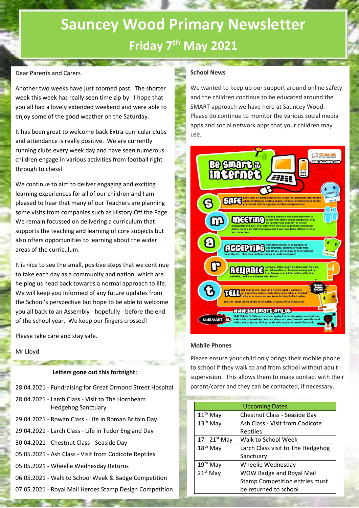## **Sauncey Wood Primary Newsletter Friday 7 th May 2021**

#### Dear Parents and Carers

Another two weeks have just zoomed past. The shorter week this week has really seen time zip by. I hope that you all had a lovely extended weekend and were able to enjoy some of the good weather on the Saturday.

It has been great to welcome back Extra-curricular clubs and attendance is really positive. We are currently running clubs every week day and have seen numerous children engage in various activities from football right through to chess!

We continue to aim to deliver engaging and exciting learning experiences for all of our children and I am pleased to hear that many of our Teachers are planning some visits from companies such as History Off the Page. We remain focussed on delivering a curriculum that supports the teaching and learning of core subjects but also offers opportunities to learning about the wider areas of the curriculum.

It is nice to see the small, positive steps that we continue to take each day as a community and nation, which are helping us head back towards a normal approach to life. We will keep you informed of any future updates from the School's perspective but hope to be able to welcome you all back to an Assembly - hopefully - before the end of the school year. We keep our fingers crossed!

Please take care and stay safe.

Mr Lloyd

#### **Letters gone out this fortnight:**

*<u>Allege Burnstein</u>* 

- 28.04.2021 Fundraising for Great Ormond Street Hospital 28.04.2021 - Larch Class - Visit to The Hornbeam Hedgehog Sanctuary 29.04.2021 - Rowan Class - Life in Roman Britain Day 29.04.2021 - Larch Class - Life in Tudor England Day
- 30.04.2021 Chestnut Class Seaside Day
- 05.05.2021 Ash Class Visit from Codicote Reptiles
- 05.05.2021 Wheelie Wednesday Returns
- 06.05.2021 Walk to School Week & Badge Competition
- 07.05.2021 Royal Mail Heroes Stamp Design Competition

#### **School News**

We wanted to keep up our support around online safety and the children continue to be educated around the SMART approach we have here at Sauncey Wood. Please do continue to monitor the various social media apps and social network apps that your children may use.



#### **Mobile Phones**

Please ensure your child only brings their mobile phone to school if they walk to and from school without adult supervision. This allows them to make contact with their parent/carer and they can be contacted, if necessary.

|                      | <b>Upcoming Dates</b>             |  |
|----------------------|-----------------------------------|--|
| $11th$ May           | Chestnut Class - Seaside Day      |  |
| $13th$ May           | Ash Class - Visit from Codicote   |  |
|                      | Reptiles                          |  |
| 17- $21^{st}$ May    | Walk to School Week               |  |
| 18 <sup>th</sup> May | Larch Class visit to The Hedgehog |  |
|                      | Sanctuary                         |  |
| 19 <sup>th</sup> May | Wheelie Wednesday                 |  |
| $21st$ May           | <b>WOW Badge and Royal Mail</b>   |  |
|                      | Stamp Competition entries must    |  |
|                      | be returned to school             |  |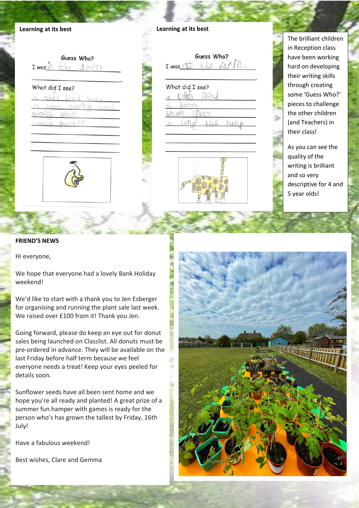

|                 | Guess Who? |  |
|-----------------|------------|--|
| I was if        |            |  |
| What did I see? |            |  |
|                 |            |  |
|                 |            |  |
|                 |            |  |
|                 |            |  |

| $I$ was $O$<br>What did I see? | Guess Who? |
|--------------------------------|------------|
|                                |            |
|                                |            |
|                                |            |
|                                |            |
|                                |            |

 $f(x)$ 

The brilliant children in Reception class have been working hard on developing their writing skills through creating some 'Guess Who?' pieces to challenge the other children (and Teachers) in their class!

As you can see the quality of the writing is brilliant and so very descriptive for 4 and 5 year olds!

#### **FRIEND'S NEWS**

Hi everyone,

We hope that everyone had a lovely Bank Holiday weekend!

We'd like to start with a thank you to Jen Esberger for organising and running the plant sale last week. We raised over £100 from it! Thank you Jen.

Going forward, please do keep an eye out for donut sales being launched on Classlist. All donuts must be pre-ordered in advance. They will be available on the last Friday before half term because we feel everyone needs a treat! Keep your eyes peeled for details soon.

Sunflower seeds have all been sent home and we hope you're all ready and planted! A great prize of a summer fun hamper with games is ready for the person who's has grown the tallest by Friday, 16th July!

Have a fabulous weekend!

Best wishes, Clare and Gemma



 $h$ town

Lond